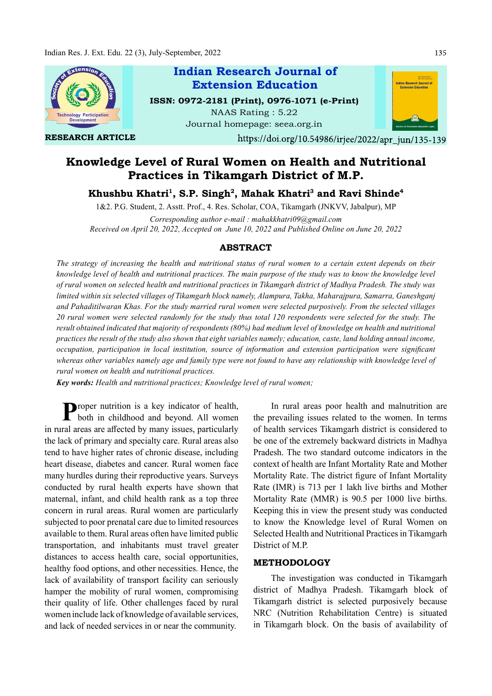

RESEARCH ARTICLE

# Indian Research Journal of ISSN: 0972-2181 (Print), 0976-1071 (e-Print) NAAS Rating : 5.22 Extension Education

Journal homepage: seea.org.in

https://doi.org/10.54986/irjee/2022/apr jun/135-139

# Knowledge Level of Rural Women on Health and Nutritional Practices in Tikamgarh District of M.P.

Khushbu Khatri<sup>1</sup>, S.P. Singh<sup>2</sup>, Mahak Khatri<sup>3</sup> and Ravi Shinde<sup>4</sup>

1&2. P.G. Student, 2. Asstt. Prof., 4. Res. Scholar, COA, Tikamgarh (JNKVV, Jabalpur), MP

Corresponding author e-mail : mahakkhatri09@gmail.com Received on April 20, 2022, Accepted on June 10, 2022 and Published Online on June 20, 2022

## ABSTRACT

The strategy of increasing the health and nutritional status of rural women to a certain extent depends on their knowledge level of health and nutritional practices. The main purpose of the study was to know the knowledge level of rural women on selected health and nutritional practices in Tikamgarh district of Madhya Pradesh. The study was limited within six selected villages of Tikamgarh block namely, Alampura, Takha, Maharajpura, Samarra, Ganeshganj and Pahaditilwaran Khas. For the study married rural women were selected purposively. From the selected villages 20 rural women were selected randomly for the study thus total 120 respondents were selected for the study. The result obtained indicated that majority of respondents (80%) had medium level of knowledge on health and nutritional practices the result of the study also shown that eight variables namely; education, caste, land holding annual income, occupation, participation in local institution, source of information and extension participation were significant whereas other variables namely age and family type were not found to have any relationship with knowledge level of rural women on health and nutritional practices.

Key words: Health and nutritional practices; Knowledge level of rural women;

**P** roper nutrition is a key indicator of health, In rural a both in childhood and beyond. All women the prevailing both in childhood and beyond. All women in rural areas are affected by many issues, particularly the lack of primary and specialty care. Rural areas also tend to have higher rates of chronic disease, including heart disease, diabetes and cancer. Rural women face many hurdles during their reproductive years. Surveys conducted by rural health experts have shown that maternal, infant, and child health rank as a top three concern in rural areas. Rural women are particularly subjected to poor prenatal care due to limited resources available to them. Rural areas often have limited public transportation, and inhabitants must travel greater distances to access health care, social opportunities, healthy food options, and other necessities. Hence, the lack of availability of transport facility can seriously hamper the mobility of rural women, compromising their quality of life. Other challenges faced by rural women include lack of knowledge of available services, and lack of needed services in or near the community.

In rural areas poor health and malnutrition are the prevailing issues related to the women. In terms of health services Tikamgarh district is considered to be one of the extremely backward districts in Madhya Pradesh. The two standard outcome indicators in the context of health are Infant Mortality Rate and Mother Mortality Rate. The district figure of Infant Mortality Rate (IMR) is 713 per 1 lakh live births and Mother Mortality Rate (MMR) is 90.5 per 1000 live births. Keeping this in view the present study was conducted to know the Knowledge level of Rural Women on Selected Health and Nutritional Practices in Tikamgarh District of M.P.

## METHODOLOGY

The investigation was conducted in Tikamgarh district of Madhya Pradesh. Tikamgarh block of Tikamgarh district is selected purposively because NRC (Nutrition Rehabilitation Centre) is situated in Tikamgarh block. On the basis of availability of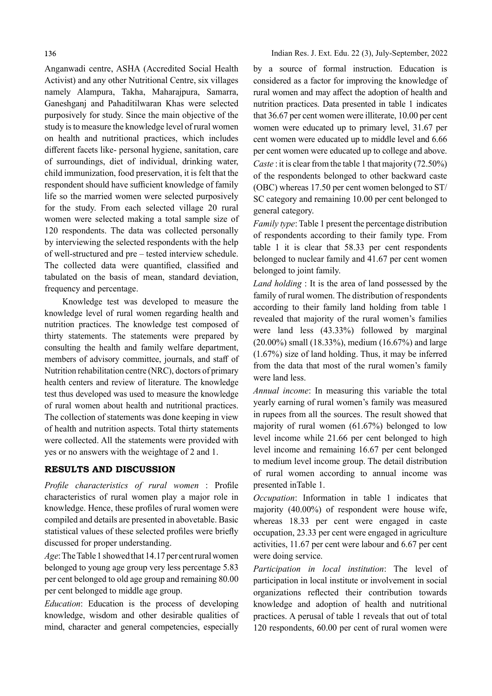Anganwadi centre, ASHA (Accredited Social Health Activist) and any other Nutritional Centre, six villages namely Alampura, Takha, Maharajpura, Samarra, Ganeshganj and Pahaditilwaran Khas were selected purposively for study. Since the main objective of the study is to measure the knowledge level of rural women on health and nutritional practices, which includes different facets like- personal hygiene, sanitation, care of surroundings, diet of individual, drinking water, child immunization, food preservation, it is felt that the respondent should have sufficient knowledge of family life so the married women were selected purposively for the study. From each selected village 20 rural women were selected making a total sample size of 120 respondents. The data was collected personally by interviewing the selected respondents with the help of well-structured and pre – tested interview schedule. The collected data were quantified, classified and tabulated on the basis of mean, standard deviation, frequency and percentage.

Knowledge test was developed to measure the knowledge level of rural women regarding health and nutrition practices. The knowledge test composed of thirty statements. The statements were prepared by consulting the health and family welfare department, members of advisory committee, journals, and staff of Nutrition rehabilitation centre (NRC), doctors of primary health centers and review of literature. The knowledge test thus developed was used to measure the knowledge of rural women about health and nutritional practices. The collection of statements was done keeping in view of health and nutrition aspects. Total thirty statements were collected. All the statements were provided with yes or no answers with the weightage of 2 and 1.

## RESULTS AND DISCUSSION

Profile characteristics of rural women : Profile characteristics of rural women play a major role in knowledge. Hence, these profiles of rural women were compiled and details are presented in abovetable. Basic statistical values of these selected profiles were briefly discussed for proper understanding.

Age: The Table 1 showed that 14.17 per cent rural women belonged to young age group very less percentage 5.83 per cent belonged to old age group and remaining 80.00 per cent belonged to middle age group.

Education: Education is the process of developing knowledge, wisdom and other desirable qualities of mind, character and general competencies, especially by a source of formal instruction. Education is considered as a factor for improving the knowledge of rural women and may affect the adoption of health and nutrition practices. Data presented in table 1 indicates that 36.67 per cent women were illiterate, 10.00 per cent women were educated up to primary level, 31.67 per cent women were educated up to middle level and 6.66 per cent women were educated up to college and above. Caste : it is clear from the table 1 that majority (72.50%) of the respondents belonged to other backward caste (OBC) whereas 17.50 per cent women belonged to ST/ SC category and remaining 10.00 per cent belonged to general category.

Family type: Table 1 present the percentage distribution of respondents according to their family type. From table 1 it is clear that 58.33 per cent respondents belonged to nuclear family and 41.67 per cent women belonged to joint family.

Land holding : It is the area of land possessed by the family of rural women. The distribution of respondents according to their family land holding from table 1 revealed that majority of the rural women's families were land less (43.33%) followed by marginal (20.00%) small (18.33%), medium (16.67%) and large (1.67%) size of land holding. Thus, it may be inferred from the data that most of the rural women's family were land less.

Annual income: In measuring this variable the total yearly earning of rural women's family was measured in rupees from all the sources. The result showed that majority of rural women (61.67%) belonged to low level income while 21.66 per cent belonged to high level income and remaining 16.67 per cent belonged to medium level income group. The detail distribution of rural women according to annual income was presented inTable 1.

Occupation: Information in table 1 indicates that majority (40.00%) of respondent were house wife, whereas 18.33 per cent were engaged in caste occupation, 23.33 per cent were engaged in agriculture activities, 11.67 per cent were labour and 6.67 per cent were doing service.

Participation in local institution: The level of participation in local institute or involvement in social organizations reflected their contribution towards knowledge and adoption of health and nutritional practices. A perusal of table 1 reveals that out of total 120 respondents, 60.00 per cent of rural women were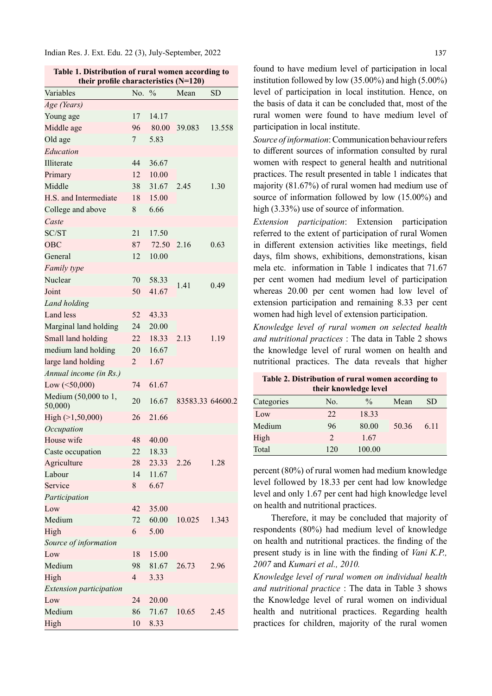Indian Res. J. Ext. Edu. 22 (3), July-September, 2022

| Table 1. Distribution of rural women according to<br>their profile characteristics (N=120) |                          |               |                  |        |  |
|--------------------------------------------------------------------------------------------|--------------------------|---------------|------------------|--------|--|
| Variables                                                                                  | No.                      | $\frac{0}{0}$ | Mean             | SD     |  |
| Age (Years)                                                                                |                          |               |                  |        |  |
| Young age                                                                                  | 17                       | 14.17         |                  |        |  |
| Middle age                                                                                 | 96                       | 80.00         | 39.083           | 13.558 |  |
| Old age                                                                                    | 7                        | 5.83          |                  |        |  |
| Education                                                                                  |                          |               |                  |        |  |
| Illiterate                                                                                 | 44                       | 36.67         |                  |        |  |
| Primary                                                                                    | 12                       | 10.00         |                  | 1.30   |  |
| Middle                                                                                     | 38                       | 31.67         | 2.45             |        |  |
| H.S. and Intermediate                                                                      | 18                       | 15.00         |                  |        |  |
| College and above                                                                          | 8                        | 6.66          |                  |        |  |
| Caste                                                                                      |                          |               |                  |        |  |
| SC/ST                                                                                      | 21                       | 17.50         |                  |        |  |
| <b>OBC</b>                                                                                 | 87                       | 72.50         | 2.16             | 0.63   |  |
| General                                                                                    | 12                       | 10.00         |                  |        |  |
| Family type                                                                                |                          |               |                  |        |  |
| Nuclear                                                                                    |                          |               |                  |        |  |
|                                                                                            | 70                       | 58.33         | 1.41             | 0.49   |  |
| Joint                                                                                      | 50                       | 41.67         |                  |        |  |
| Land holding                                                                               |                          |               |                  |        |  |
| <b>Land</b> less                                                                           | 52                       | 43.33         |                  |        |  |
| Marginal land holding                                                                      | 24                       | 20.00         |                  |        |  |
| Small land holding                                                                         | 22                       | 18.33         | 2.13             | 1.19   |  |
| medium land holding                                                                        | 20                       | 16.67         |                  |        |  |
| large land holding                                                                         | 2                        | 1.67          |                  |        |  |
| Annual income (in Rs.)                                                                     |                          |               |                  |        |  |
| Low $(<50,000)$                                                                            | 74                       | 61.67         |                  |        |  |
| Medium (50,000 to 1,<br>50,000)                                                            | 20                       | 16.67         | 83583.33 64600.2 |        |  |
| High $(>1, 50, 000)$                                                                       | 26                       | 21.66         |                  |        |  |
| Occupation                                                                                 |                          |               |                  |        |  |
| House wife                                                                                 | 48                       | 40.00         |                  |        |  |
| Caste occupation                                                                           | 22                       | 18.33         |                  | 1.28   |  |
| Agriculture                                                                                | 28                       | 23.33         | 2.26             |        |  |
| Labour                                                                                     | 14                       | 11.67         |                  |        |  |
| Service                                                                                    | 8                        | 6.67          |                  |        |  |
| Participation                                                                              |                          |               |                  |        |  |
| Low                                                                                        | 42                       | 35.00         |                  |        |  |
| Medium                                                                                     | 72                       | 60.00         | 10.025           | 1.343  |  |
| High                                                                                       | 6                        | 5.00          |                  |        |  |
| Source of information                                                                      |                          |               |                  |        |  |
| Low                                                                                        | 18                       | 15.00         |                  |        |  |
| Medium                                                                                     | 98                       | 81.67         | 26.73            | 2.96   |  |
| High                                                                                       | $\overline{\mathcal{L}}$ | 3.33          |                  |        |  |
| <b>Extension participation</b>                                                             |                          |               |                  |        |  |
| Low                                                                                        | 24                       | 20.00         |                  |        |  |
| Medium                                                                                     | 86                       | 71.67         | 10.65            | 2.45   |  |
| High                                                                                       | 10                       | 8.33          |                  |        |  |

found to have medium level of participation in local institution followed by low (35.00%) and high (5.00%) level of participation in local institution. Hence, on the basis of data it can be concluded that, most of the rural women were found to have medium level of participation in local institute.

Source of information: Communication behaviour refers to different sources of information consulted by rural women with respect to general health and nutritional practices. The result presented in table 1 indicates that majority (81.67%) of rural women had medium use of source of information followed by low (15.00%) and high (3.33%) use of source of information.

Extension participation: Extension participation referred to the extent of participation of rural Women in different extension activities like meetings, field days, film shows, exhibitions, demonstrations, kisan mela etc. information in Table 1 indicates that 71.67 per cent women had medium level of participation whereas 20.00 per cent women had low level of extension participation and remaining 8.33 per cent women had high level of extension participation.

Knowledge level of rural women on selected health and nutritional practices : The data in Table 2 shows the knowledge level of rural women on health and nutritional practices. The data reveals that higher

| Table 2. Distribution of rural women according to<br>their knowledge level |                |               |       |      |  |  |
|----------------------------------------------------------------------------|----------------|---------------|-------|------|--|--|
| Categories                                                                 | No.            | $\frac{0}{0}$ | Mean  | SD   |  |  |
| Low                                                                        | 22             | 18.33         |       | 6.11 |  |  |
| Medium                                                                     | 96             | 80.00         | 50.36 |      |  |  |
| High                                                                       | $\mathfrak{D}$ | 1.67          |       |      |  |  |
| Total                                                                      | 120            | 100.00        |       |      |  |  |

percent (80%) of rural women had medium knowledge level followed by 18.33 per cent had low knowledge level and only 1.67 per cent had high knowledge level on health and nutritional practices.

Therefore, it may be concluded that majority of respondents (80%) had medium level of knowledge on health and nutritional practices, the finding of the present study is in line with the finding of *Vani K.P.*, 2007 and Kumari et al., 2010.

Knowledge level of rural women on individual health and nutritional practice : The data in Table 3 shows the Knowledge level of rural women on individual health and nutritional practices. Regarding health practices for children, majority of the rural women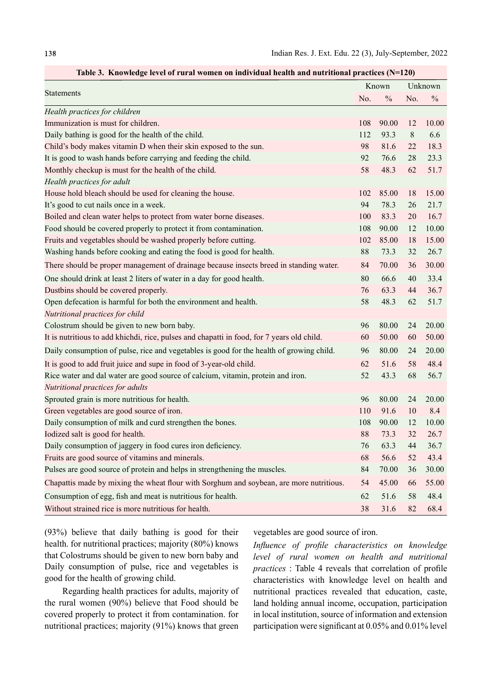| Table 3. Knowledge level of rural women on individual health and nutritional practices $(N=120)$ |     |               |         |               |  |
|--------------------------------------------------------------------------------------------------|-----|---------------|---------|---------------|--|
| <b>Statements</b>                                                                                |     | Known         |         | Unknown       |  |
|                                                                                                  | No. | $\frac{0}{0}$ | No.     | $\frac{0}{0}$ |  |
| Health practices for children                                                                    |     |               |         |               |  |
| Immunization is must for children.                                                               | 108 | 90.00         | 12      | 10.00         |  |
| Daily bathing is good for the health of the child.                                               | 112 | 93.3          | $\,8\,$ | 6.6           |  |
| Child's body makes vitamin D when their skin exposed to the sun.                                 | 98  | 81.6          | 22      | 18.3          |  |
| It is good to wash hands before carrying and feeding the child.                                  | 92  | 76.6          | 28      | 23.3          |  |
| Monthly checkup is must for the health of the child.                                             | 58  | 48.3          | 62      | 51.7          |  |
| Health practices for adult                                                                       |     |               |         |               |  |
| House hold bleach should be used for cleaning the house.                                         | 102 | 85.00         | 18      | 15.00         |  |
| It's good to cut nails once in a week.                                                           | 94  | 78.3          | 26      | 21.7          |  |
| Boiled and clean water helps to protect from water borne diseases.                               | 100 | 83.3          | 20      | 16.7          |  |
| Food should be covered properly to protect it from contamination.                                | 108 | 90.00         | 12      | 10.00         |  |
| Fruits and vegetables should be washed properly before cutting.                                  | 102 | 85.00         | 18      | 15.00         |  |
| Washing hands before cooking and eating the food is good for health.                             | 88  | 73.3          | 32      | 26.7          |  |
| There should be proper management of drainage because insects breed in standing water.           | 84  | 70.00         | 36      | 30.00         |  |
| One should drink at least 2 liters of water in a day for good health.                            | 80  | 66.6          | 40      | 33.4          |  |
| Dustbins should be covered properly.                                                             | 76  | 63.3          | 44      | 36.7          |  |
| Open defecation is harmful for both the environment and health.                                  | 58  | 48.3          | 62      | 51.7          |  |
| Nutritional practices for child                                                                  |     |               |         |               |  |
| Colostrum should be given to new born baby.                                                      | 96  | 80.00         | 24      | 20.00         |  |
| It is nutritious to add khichdi, rice, pulses and chapatti in food, for 7 years old child.       | 60  | 50.00         | 60      | 50.00         |  |
| Daily consumption of pulse, rice and vegetables is good for the health of growing child.         | 96  | 80.00         | 24      | 20.00         |  |
| It is good to add fruit juice and supe in food of 3-year-old child.                              | 62  | 51.6          | 58      | 48.4          |  |
| Rice water and dal water are good source of calcium, vitamin, protein and iron.                  | 52  | 43.3          | 68      | 56.7          |  |
| Nutritional practices for adults                                                                 |     |               |         |               |  |
| Sprouted grain is more nutritious for health.                                                    | 96  | 80.00         | 24      | 20.00         |  |
| Green vegetables are good source of iron.                                                        | 110 | 91.6          | 10      | 8.4           |  |
| Daily consumption of milk and curd strengthen the bones.                                         | 108 | 90.00         | 12      | 10.00         |  |
| Iodized salt is good for health.                                                                 | 88  | 73.3          | 32      | 26.7          |  |
| Daily consumption of jaggery in food cures iron deficiency.                                      | 76  | 63.3          | 44      | 36.7          |  |
| Fruits are good source of vitamins and minerals.                                                 | 68  | 56.6          | 52      | 43.4          |  |
| Pulses are good source of protein and helps in strengthening the muscles.                        | 84  | 70.00         | 36      | 30.00         |  |
| Chapattis made by mixing the wheat flour with Sorghum and soybean, are more nutritious.          | 54  | 45.00         | 66      | 55.00         |  |
| Consumption of egg, fish and meat is nutritious for health.                                      | 62  | 51.6          | 58      | 48.4          |  |
| Without strained rice is more nutritious for health.                                             | 38  | 31.6          | 82      | 68.4          |  |

Table 3. Knowledge level of rural women on individual health and nutritional practices (N=120)

(93%) believe that daily bathing is good for their health. for nutritional practices; majority (80%) knows that Colostrums should be given to new born baby and Daily consumption of pulse, rice and vegetables is good for the health of growing child.

Regarding health practices for adults, majority of the rural women (90%) believe that Food should be covered properly to protect it from contamination. for nutritional practices; majority (91%) knows that green vegetables are good source of iron.

Influence of profile characteristics on knowledge level of rural women on health and nutritional practices : Table 4 reveals that correlation of profile characteristics with knowledge level on health and nutritional practices revealed that education, caste, land holding annual income, occupation, participation in local institution, source of information and extension participation were significant at  $0.05\%$  and  $0.01\%$  level